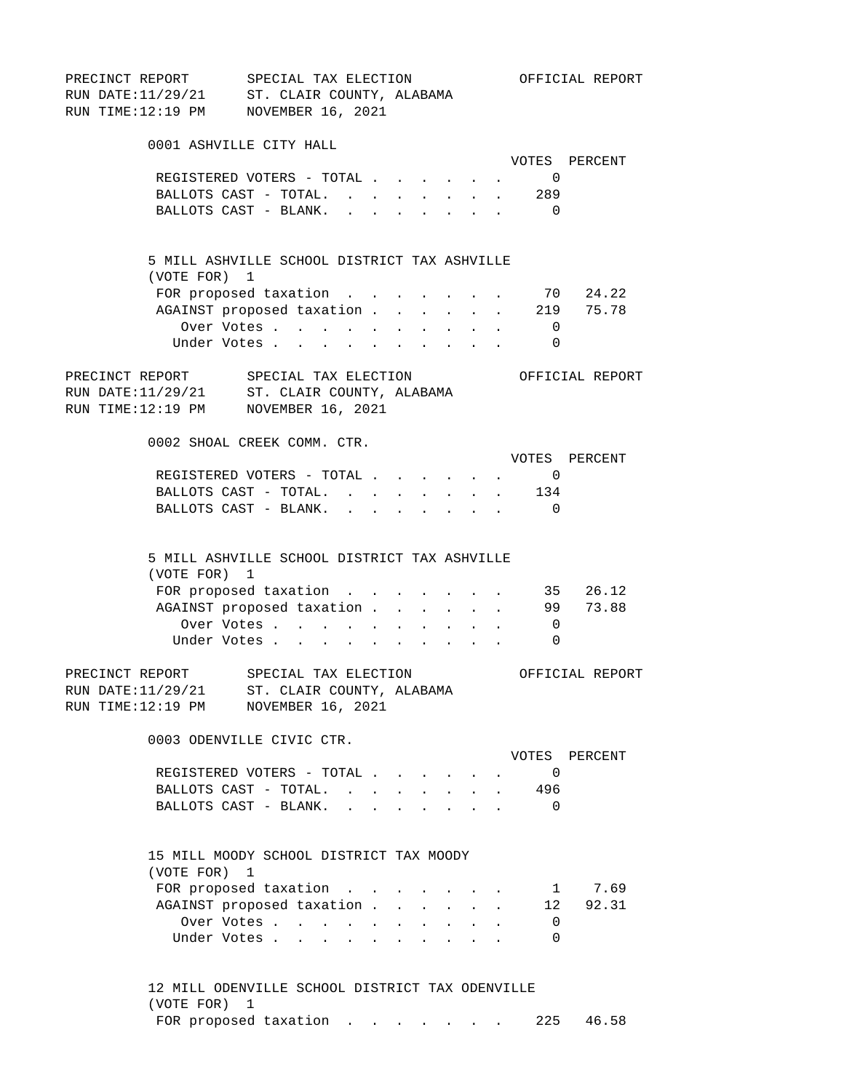PRECINCT REPORT SPECIAL TAX ELECTION OFFICIAL REPORT RUN DATE:11/29/21 ST. CLAIR COUNTY, ALABAMA RUN TIME:12:19 PM NOVEMBER 16, 2021 0001 ASHVILLE CITY HALL VOTES PERCENT REGISTERED VOTERS - TOTAL . . . . . . 0 BALLOTS CAST - TOTAL. . . . . . . . 289 BALLOTS CAST - BLANK. . . . . . . . . 0 5 MILL ASHVILLE SCHOOL DISTRICT TAX ASHVILLE (VOTE FOR) 1 FOR proposed taxation . . . . . . . 70 24.22 AGAINST proposed taxation . . . . . 219 75.78 Over Votes . . . . . . . . . . 0 Under Votes . . . . . . . . . . 0 PRECINCT REPORT SPECIAL TAX ELECTION OFFICIAL REPORT RUN DATE:11/29/21 ST. CLAIR COUNTY, ALABAMA RUN TIME:12:19 PM NOVEMBER 16, 2021 0002 SHOAL CREEK COMM. CTR. VOTES PERCENT REGISTERED VOTERS - TOTAL . . . . . . 0 BALLOTS CAST - TOTAL. . . . . . . . 134 BALLOTS CAST - BLANK. . . . . . . . 0 5 MILL ASHVILLE SCHOOL DISTRICT TAX ASHVILLE (VOTE FOR) 1 FOR proposed taxation . . . . . . . 35 26.12 AGAINST proposed taxation . . . . . . 99 73.88 Over Votes . . . . . . . . . . 0 Under Votes . . . . . . . . . . 0 PRECINCT REPORT SPECIAL TAX ELECTION OFFICIAL REPORT RUN DATE:11/29/21 ST. CLAIR COUNTY, ALABAMA RUN TIME:12:19 PM NOVEMBER 16, 2021 0003 ODENVILLE CIVIC CTR. VOTES PERCENT REGISTERED VOTERS - TOTAL . . . . . . 0 BALLOTS CAST - TOTAL. . . . . . . . 496 BALLOTS CAST - BLANK. . . . . . . . 0 15 MILL MOODY SCHOOL DISTRICT TAX MOODY (VOTE FOR) 1 FOR proposed taxation . . . . . . . 1 7.69 AGAINST proposed taxation . . . . . 12 92.31 Over Votes . . . . . . . . . . . 0 Under Votes . . . . . . . . . . 0

> 12 MILL ODENVILLE SCHOOL DISTRICT TAX ODENVILLE (VOTE FOR) 1 FOR proposed taxation . . . . . . 225 46.58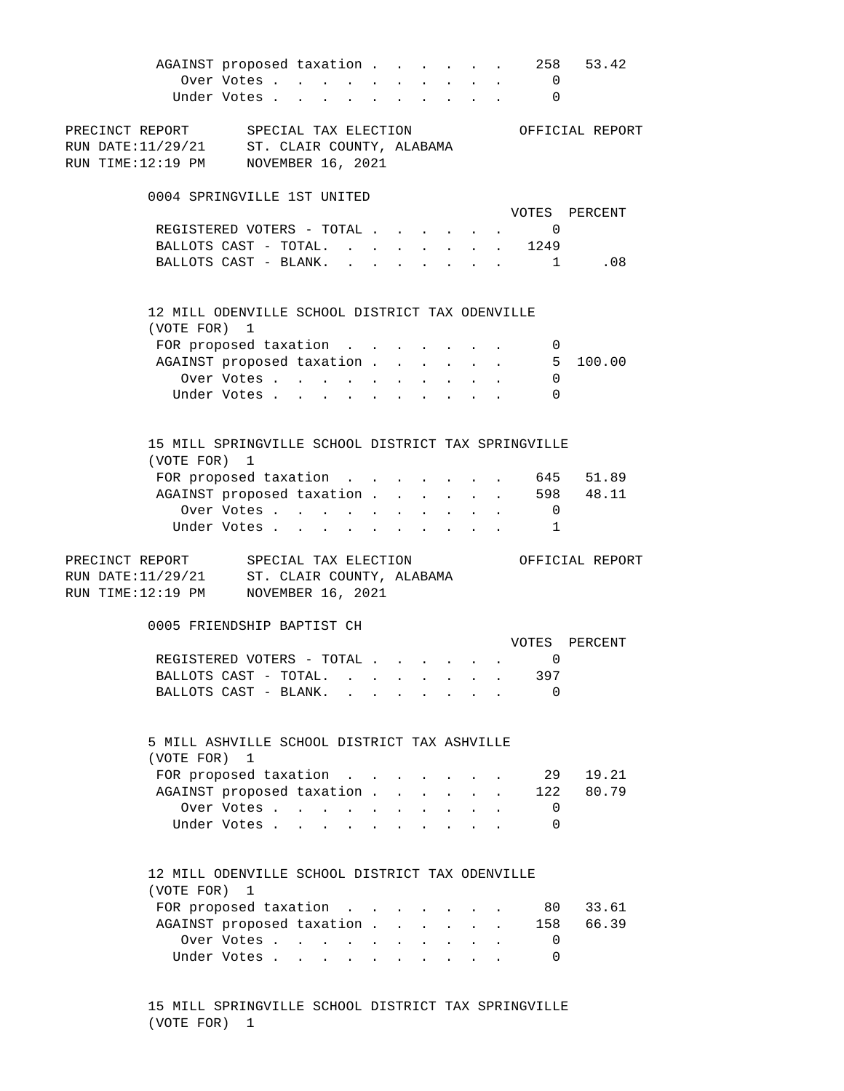AGAINST proposed taxation . . . . . 258 53.42 Over Votes . . . . . . . . . . 0 Under Votes . . . . . . . . . . 0 PRECINCT REPORT SPECIAL TAX ELECTION OFFICIAL REPORT RUN DATE:11/29/21 ST. CLAIR COUNTY, ALABAMA RUN TIME:12:19 PM NOVEMBER 16, 2021 0004 SPRINGVILLE 1ST UNITED VOTES PERCENT REGISTERED VOTERS - TOTAL . . . . . . 0 BALLOTS CAST - TOTAL. . . . . . . . 1249 BALLOTS CAST - BLANK. . . . . . . . 1 .08 12 MILL ODENVILLE SCHOOL DISTRICT TAX ODENVILLE (VOTE FOR) 1 FOR proposed taxation . . . . . . . 0 AGAINST proposed taxation . . . . . . 5 100.00 Over Votes . . . . . . . . . . 0 Under Votes . . . . . . . . . . 0 15 MILL SPRINGVILLE SCHOOL DISTRICT TAX SPRINGVILLE (VOTE FOR) 1 FOR proposed taxation . . . . . . . 645 51.89 AGAINST proposed taxation . . . . . . 598 48.11 Over Votes . . . . . . . . . . 0 Under Votes . . . . . . . . . . 1 PRECINCT REPORT SPECIAL TAX ELECTION OFFICIAL REPORT RUN DATE:11/29/21 ST. CLAIR COUNTY, ALABAMA RUN TIME:12:19 PM NOVEMBER 16, 2021 0005 FRIENDSHIP BAPTIST CH VOTES PERCENT REGISTERED VOTERS - TOTAL . . . . . . 0 BALLOTS CAST - TOTAL. . . . . . . . 397 BALLOTS CAST - BLANK. . . . . . . . 0 5 MILL ASHVILLE SCHOOL DISTRICT TAX ASHVILLE (VOTE FOR) 1 FOR proposed taxation . . . . . . . 29 19.21 AGAINST proposed taxation . . . . . 122 80.79 Over Votes . . . . . . . . . . 0 Under Votes . . . . . . . . . . 0 12 MILL ODENVILLE SCHOOL DISTRICT TAX ODENVILLE (VOTE FOR) 1 FOR proposed taxation . . . . . . . 80 33.61 AGAINST proposed taxation . . . . . 158 66.39 Over Votes . . . . . . . . . . 0 Under Votes . . . . . . . . . . 0

> 15 MILL SPRINGVILLE SCHOOL DISTRICT TAX SPRINGVILLE (VOTE FOR) 1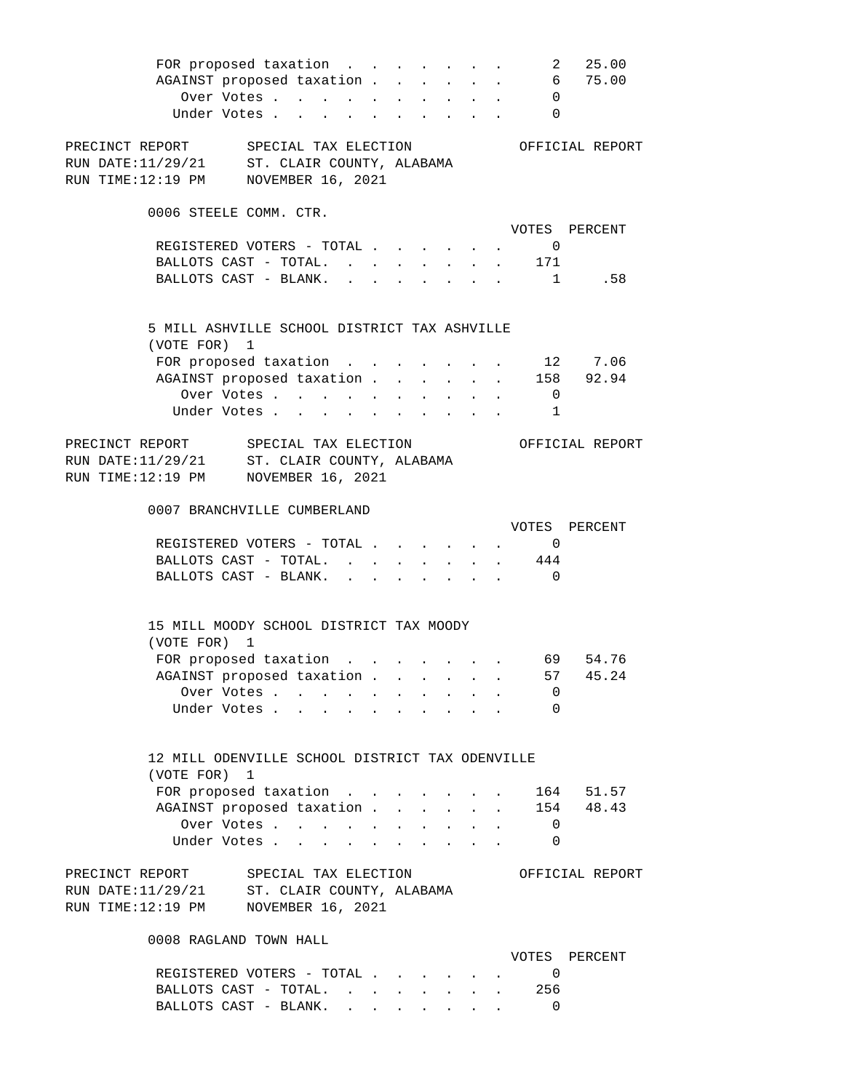|                                                 | FOR proposed taxation 2 25.00       |  |  |                                                                                                                                               |                |                   |
|-------------------------------------------------|-------------------------------------|--|--|-----------------------------------------------------------------------------------------------------------------------------------------------|----------------|-------------------|
|                                                 | AGAINST proposed taxation 6 75.00   |  |  |                                                                                                                                               |                |                   |
|                                                 | Over Votes 0                        |  |  |                                                                                                                                               |                |                   |
|                                                 | Under Votes 0                       |  |  |                                                                                                                                               |                |                   |
|                                                 |                                     |  |  |                                                                                                                                               |                |                   |
| PRECINCT REPORT SPECIAL TAX ELECTION            |                                     |  |  |                                                                                                                                               |                | OFFICIAL REPORT   |
| RUN DATE: 11/29/21 ST. CLAIR COUNTY, ALABAMA    |                                     |  |  |                                                                                                                                               |                |                   |
| RUN TIME:12:19 PM NOVEMBER 16, 2021             |                                     |  |  |                                                                                                                                               |                |                   |
|                                                 |                                     |  |  |                                                                                                                                               |                |                   |
| 0006 STEELE COMM. CTR.                          |                                     |  |  |                                                                                                                                               |                |                   |
|                                                 |                                     |  |  |                                                                                                                                               |                | VOTES PERCENT     |
|                                                 | REGISTERED VOTERS - TOTAL           |  |  |                                                                                                                                               | $\overline{0}$ |                   |
|                                                 | BALLOTS CAST - TOTAL. 171           |  |  |                                                                                                                                               |                |                   |
|                                                 | BALLOTS CAST - BLANK. 1 . 58        |  |  |                                                                                                                                               |                |                   |
|                                                 |                                     |  |  |                                                                                                                                               |                |                   |
|                                                 |                                     |  |  |                                                                                                                                               |                |                   |
| 5 MILL ASHVILLE SCHOOL DISTRICT TAX ASHVILLE    |                                     |  |  |                                                                                                                                               |                |                   |
| (VOTE FOR) 1                                    |                                     |  |  |                                                                                                                                               |                |                   |
|                                                 | FOR proposed taxation               |  |  |                                                                                                                                               |                | . 12 7.06         |
|                                                 | AGAINST proposed taxation 158 92.94 |  |  |                                                                                                                                               |                |                   |
|                                                 | Over Votes 0                        |  |  |                                                                                                                                               |                |                   |
|                                                 | Under Votes 1                       |  |  |                                                                                                                                               |                |                   |
|                                                 |                                     |  |  |                                                                                                                                               |                |                   |
| PRECINCT REPORT SPECIAL TAX ELECTION            |                                     |  |  |                                                                                                                                               |                | OFFICIAL REPORT   |
| RUN DATE:11/29/21 ST. CLAIR COUNTY, ALABAMA     |                                     |  |  |                                                                                                                                               |                |                   |
| RUN TIME:12:19 PM NOVEMBER 16, 2021             |                                     |  |  |                                                                                                                                               |                |                   |
|                                                 |                                     |  |  |                                                                                                                                               |                |                   |
|                                                 |                                     |  |  |                                                                                                                                               |                |                   |
| 0007 BRANCHVILLE CUMBERLAND                     |                                     |  |  |                                                                                                                                               |                |                   |
|                                                 |                                     |  |  |                                                                                                                                               |                | VOTES PERCENT     |
|                                                 | REGISTERED VOTERS - TOTAL           |  |  |                                                                                                                                               | $\overline{0}$ |                   |
|                                                 | BALLOTS CAST - TOTAL. 444           |  |  |                                                                                                                                               |                |                   |
|                                                 | BALLOTS CAST - BLANK. 0             |  |  |                                                                                                                                               |                |                   |
|                                                 |                                     |  |  |                                                                                                                                               |                |                   |
|                                                 |                                     |  |  |                                                                                                                                               |                |                   |
| 15 MILL MOODY SCHOOL DISTRICT TAX MOODY         |                                     |  |  |                                                                                                                                               |                |                   |
| (VOTE FOR) 1                                    |                                     |  |  |                                                                                                                                               |                |                   |
|                                                 | FOR proposed taxation 69 54.76      |  |  |                                                                                                                                               |                |                   |
|                                                 | AGAINST proposed taxation.          |  |  |                                                                                                                                               | 57             | 45.24             |
|                                                 | Over Votes                          |  |  |                                                                                                                                               | <b>O</b>       |                   |
|                                                 | Under Votes                         |  |  |                                                                                                                                               | - 0            |                   |
|                                                 |                                     |  |  |                                                                                                                                               |                |                   |
|                                                 |                                     |  |  |                                                                                                                                               |                |                   |
| 12 MILL ODENVILLE SCHOOL DISTRICT TAX ODENVILLE |                                     |  |  |                                                                                                                                               |                |                   |
| (VOTE FOR) 1                                    |                                     |  |  |                                                                                                                                               |                |                   |
|                                                 | FOR proposed taxation               |  |  |                                                                                                                                               |                | 164 51.57         |
|                                                 | AGAINST proposed taxation.          |  |  |                                                                                                                                               |                | $\cdot$ 154 48.43 |
|                                                 | Over Votes                          |  |  |                                                                                                                                               | $\overline{0}$ |                   |
|                                                 | Under Votes                         |  |  | $\begin{array}{cccccccccccccc} \bullet & \bullet & \bullet & \bullet & \bullet & \bullet & \bullet & \bullet & \bullet & \bullet \end{array}$ | $\Omega$       |                   |
|                                                 |                                     |  |  |                                                                                                                                               |                |                   |
| PRECINCT REPORT                                 | SPECIAL TAX ELECTION                |  |  |                                                                                                                                               |                | OFFICIAL REPORT   |
| RUN DATE:11/29/21 ST. CLAIR COUNTY, ALABAMA     |                                     |  |  |                                                                                                                                               |                |                   |
| RUN TIME:12:19 PM NOVEMBER 16, 2021             |                                     |  |  |                                                                                                                                               |                |                   |
|                                                 |                                     |  |  |                                                                                                                                               |                |                   |
| 0008 RAGLAND TOWN HALL                          |                                     |  |  |                                                                                                                                               |                |                   |
|                                                 |                                     |  |  |                                                                                                                                               |                | VOTES PERCENT     |
|                                                 | REGISTERED VOTERS - TOTAL           |  |  |                                                                                                                                               | $\overline{0}$ |                   |
|                                                 | BALLOTS CAST - TOTAL.               |  |  |                                                                                                                                               | 256            |                   |

BALLOTS CAST - BLANK. . . . . . . . 0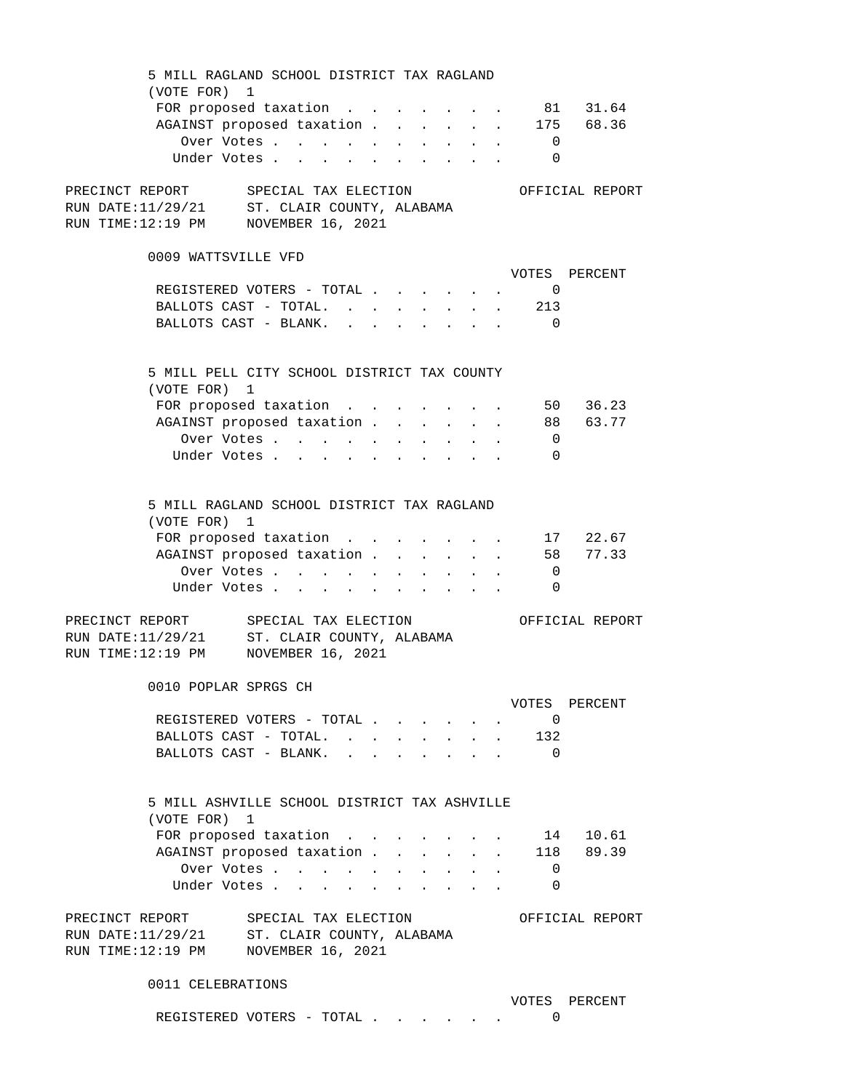5 MILL RAGLAND SCHOOL DISTRICT TAX RAGLAND (VOTE FOR) 1 FOR proposed taxation . . . . . . . 81 31.64 AGAINST proposed taxation . . . . . . 175 68.36 Over Votes . . . . . . . . . . 0 Under Votes . . . . . . . . . . 0 PRECINCT REPORT SPECIAL TAX ELECTION OFFICIAL REPORT RUN DATE:11/29/21 ST. CLAIR COUNTY, ALABAMA RUN TIME:12:19 PM NOVEMBER 16, 2021 0009 WATTSVILLE VFD VOTES PERCENT REGISTERED VOTERS - TOTAL . . . . . . 0 BALLOTS CAST - TOTAL. . . . . . . . 213 BALLOTS CAST - BLANK. . . . . . . . 0 5 MILL PELL CITY SCHOOL DISTRICT TAX COUNTY (VOTE FOR) 1 FOR proposed taxation . . . . . . . 50 36.23 AGAINST proposed taxation . . . . . . 88 63.77 Over Votes . . . . . . . . . . 0 Under Votes . . . . . . . . . . 0 5 MILL RAGLAND SCHOOL DISTRICT TAX RAGLAND (VOTE FOR) 1 FOR proposed taxation . . . . . . . 17 22.67 AGAINST proposed taxation . . . . . . 58 77.33 Over Votes . . . . . . . . . . 0 Under Votes . . . . . . . . . . . 0 PRECINCT REPORT SPECIAL TAX ELECTION OFFICIAL REPORT RUN DATE: 11/29/21 ST. CLAIR COUNTY, ALABAMA RUN TIME:12:19 PM NOVEMBER 16, 2021 0010 POPLAR SPRGS CH VOTES PERCENT REGISTERED VOTERS - TOTAL . . . . . . 0 BALLOTS CAST - TOTAL. . . . . . . . 132 BALLOTS CAST - BLANK. . . . . . . . 0 5 MILL ASHVILLE SCHOOL DISTRICT TAX ASHVILLE (VOTE FOR) 1 FOR proposed taxation . . . . . . . 14 10.61 AGAINST proposed taxation . . . . . . 118 89.39 Over Votes . . . . . . . . . . 0 Under Votes . . . . . . . . . . 0 PRECINCT REPORT SPECIAL TAX ELECTION OFFICIAL REPORT RUN DATE: 11/29/21 ST. CLAIR COUNTY, ALABAMA RUN TIME:12:19 PM NOVEMBER 16, 2021 0011 CELEBRATIONS VOTES PERCENT REGISTERED VOTERS - TOTAL . . . . . . 0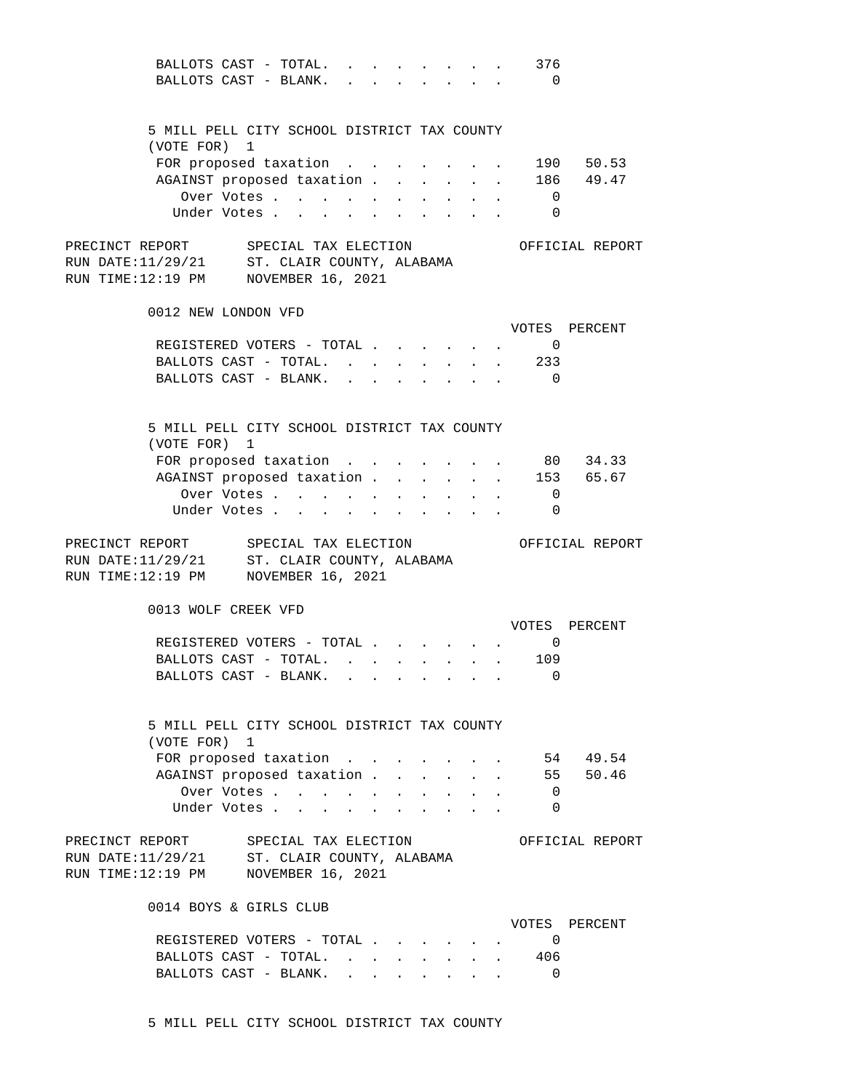| BALLOTS CAST - TOTAL.                                |  |             |  |  |  |                                                                            | 376                         |                                     |
|------------------------------------------------------|--|-------------|--|--|--|----------------------------------------------------------------------------|-----------------------------|-------------------------------------|
| BALLOTS CAST - BLANK.                                |  |             |  |  |  | $\mathbf{r}$ , $\mathbf{r}$ , $\mathbf{r}$ , $\mathbf{r}$                  | $\overline{0}$              |                                     |
|                                                      |  |             |  |  |  |                                                                            |                             |                                     |
|                                                      |  |             |  |  |  |                                                                            |                             |                                     |
| 5 MILL PELL CITY SCHOOL DISTRICT TAX COUNTY          |  |             |  |  |  |                                                                            |                             |                                     |
| (VOTE FOR) 1                                         |  |             |  |  |  |                                                                            |                             |                                     |
|                                                      |  |             |  |  |  |                                                                            |                             |                                     |
|                                                      |  |             |  |  |  |                                                                            |                             | FOR proposed taxation 190 50.53     |
| AGAINST proposed taxation                            |  |             |  |  |  |                                                                            |                             | 186 49.47                           |
|                                                      |  | Over Votes  |  |  |  | $\mathbf{r} = \mathbf{r} + \mathbf{r} + \mathbf{r}$                        | $\overline{\phantom{0}}$    |                                     |
|                                                      |  | Under Votes |  |  |  |                                                                            | $\overline{0}$              |                                     |
|                                                      |  |             |  |  |  |                                                                            |                             |                                     |
| PRECINCT REPORT SPECIAL TAX ELECTION OFFICIAL REPORT |  |             |  |  |  |                                                                            |                             |                                     |
| RUN DATE: 11/29/21 ST. CLAIR COUNTY, ALABAMA         |  |             |  |  |  |                                                                            |                             |                                     |
| RUN TIME:12:19 PM NOVEMBER 16, 2021                  |  |             |  |  |  |                                                                            |                             |                                     |
|                                                      |  |             |  |  |  |                                                                            |                             |                                     |
|                                                      |  |             |  |  |  |                                                                            |                             |                                     |
| 0012 NEW LONDON VFD                                  |  |             |  |  |  |                                                                            |                             |                                     |
|                                                      |  |             |  |  |  |                                                                            |                             | VOTES PERCENT                       |
|                                                      |  |             |  |  |  |                                                                            | REGISTERED VOTERS - TOTAL 0 |                                     |
|                                                      |  |             |  |  |  |                                                                            | BALLOTS CAST - TOTAL. 233   |                                     |
| BALLOTS CAST - BLANK.                                |  |             |  |  |  |                                                                            | $\overline{\phantom{0}}$    |                                     |
|                                                      |  |             |  |  |  |                                                                            |                             |                                     |
|                                                      |  |             |  |  |  |                                                                            |                             |                                     |
|                                                      |  |             |  |  |  |                                                                            |                             |                                     |
| 5 MILL PELL CITY SCHOOL DISTRICT TAX COUNTY          |  |             |  |  |  |                                                                            |                             |                                     |
| (VOTE FOR) 1                                         |  |             |  |  |  |                                                                            |                             |                                     |
|                                                      |  |             |  |  |  |                                                                            |                             | FOR proposed taxation 80 34.33      |
|                                                      |  |             |  |  |  |                                                                            |                             | AGAINST proposed taxation 153 65.67 |
|                                                      |  | Over Votes  |  |  |  | $\mathbf{r}$ , $\mathbf{r}$ , $\mathbf{r}$ , $\mathbf{r}$                  | $\overline{0}$              |                                     |
|                                                      |  |             |  |  |  |                                                                            | $\overline{0}$              |                                     |
|                                                      |  | Under Votes |  |  |  |                                                                            |                             |                                     |
|                                                      |  |             |  |  |  |                                                                            |                             |                                     |
|                                                      |  |             |  |  |  |                                                                            |                             |                                     |
| PRECINCT REPORT SPECIAL TAX ELECTION OFFICIAL REPORT |  |             |  |  |  |                                                                            |                             |                                     |
| RUN DATE: 11/29/21 ST. CLAIR COUNTY, ALABAMA         |  |             |  |  |  |                                                                            |                             |                                     |
| RUN TIME:12:19 PM NOVEMBER 16, 2021                  |  |             |  |  |  |                                                                            |                             |                                     |
|                                                      |  |             |  |  |  |                                                                            |                             |                                     |
|                                                      |  |             |  |  |  |                                                                            |                             |                                     |
| 0013 WOLF CREEK VFD                                  |  |             |  |  |  |                                                                            |                             |                                     |
|                                                      |  |             |  |  |  |                                                                            |                             | VOTES PERCENT                       |
|                                                      |  |             |  |  |  |                                                                            | REGISTERED VOTERS - TOTAL 0 |                                     |
|                                                      |  |             |  |  |  |                                                                            | BALLOTS CAST - TOTAL. 109   |                                     |
| BALLOTS CAST - BLANK.                                |  |             |  |  |  |                                                                            | $\bigcap$                   |                                     |
|                                                      |  |             |  |  |  |                                                                            |                             |                                     |
|                                                      |  |             |  |  |  |                                                                            |                             |                                     |
| 5 MILL PELL CITY SCHOOL DISTRICT TAX COUNTY          |  |             |  |  |  |                                                                            |                             |                                     |
|                                                      |  |             |  |  |  |                                                                            |                             |                                     |
| (VOTE FOR) 1                                         |  |             |  |  |  |                                                                            |                             |                                     |
|                                                      |  |             |  |  |  |                                                                            |                             | FOR proposed taxation 54 49.54      |
| AGAINST proposed taxation                            |  |             |  |  |  |                                                                            |                             | 55 50.46                            |
|                                                      |  | Over Votes  |  |  |  | $\mathbf{L} = \mathbf{L} \times \mathbf{L} = \mathbf{L} \times \mathbf{L}$ | $\overline{0}$              |                                     |
|                                                      |  | Under Votes |  |  |  |                                                                            | $\overline{0}$              |                                     |
|                                                      |  |             |  |  |  |                                                                            |                             |                                     |
| PRECINCT REPORT SPECIAL TAX ELECTION                 |  |             |  |  |  |                                                                            |                             | OFFICIAL REPORT                     |
|                                                      |  |             |  |  |  |                                                                            |                             |                                     |
| RUN DATE: 11/29/21 ST. CLAIR COUNTY, ALABAMA         |  |             |  |  |  |                                                                            |                             |                                     |
| RUN TIME:12:19 PM NOVEMBER 16, 2021                  |  |             |  |  |  |                                                                            |                             |                                     |
|                                                      |  |             |  |  |  |                                                                            |                             |                                     |
| 0014 BOYS & GIRLS CLUB                               |  |             |  |  |  |                                                                            |                             |                                     |
|                                                      |  |             |  |  |  |                                                                            |                             | VOTES PERCENT                       |
| REGISTERED VOTERS - TOTAL                            |  |             |  |  |  |                                                                            | $\overline{\phantom{0}}$    |                                     |
|                                                      |  |             |  |  |  |                                                                            | BALLOTS CAST - TOTAL. 406   |                                     |
| BALLOTS CAST - BLANK.                                |  |             |  |  |  |                                                                            | $\overline{\phantom{0}}$    |                                     |
|                                                      |  |             |  |  |  |                                                                            |                             |                                     |

5 MILL PELL CITY SCHOOL DISTRICT TAX COUNTY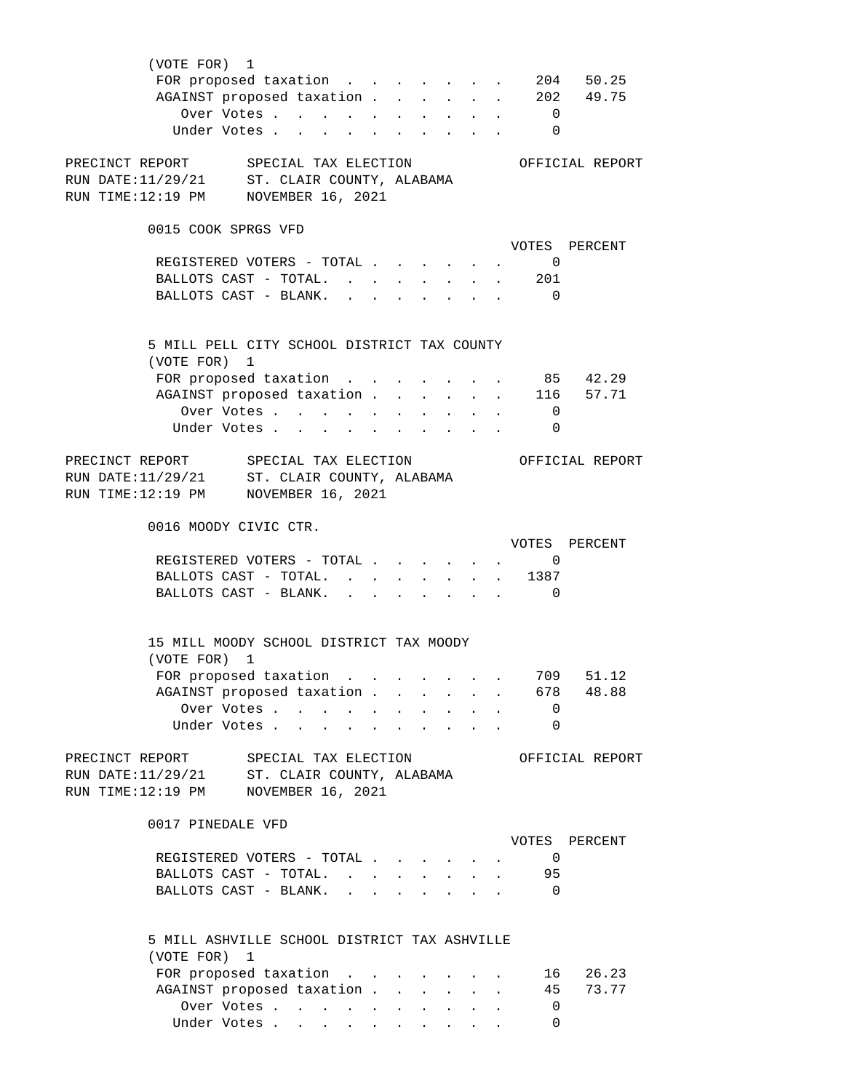| (VOTE FOR) 1                                                |                      |                                                 |  |                                                                                               |                          |                 |
|-------------------------------------------------------------|----------------------|-------------------------------------------------|--|-----------------------------------------------------------------------------------------------|--------------------------|-----------------|
| FOR proposed taxation 204 50.25                             |                      |                                                 |  |                                                                                               |                          |                 |
| AGAINST proposed taxation 202 49.75                         |                      |                                                 |  |                                                                                               |                          |                 |
| Over Votes $\cdots$ $\cdots$ $\cdots$ $\cdots$ $\cdots$     |                      |                                                 |  |                                                                                               |                          |                 |
| Under Votes                                                 |                      |                                                 |  |                                                                                               | $\overline{\phantom{0}}$ |                 |
|                                                             |                      |                                                 |  |                                                                                               |                          |                 |
| PRECINCT REPORT SPECIAL TAX ELECTION                        |                      |                                                 |  |                                                                                               |                          | OFFICIAL REPORT |
| RUN DATE:11/29/21 ST. CLAIR COUNTY, ALABAMA                 |                      |                                                 |  |                                                                                               |                          |                 |
| RUN TIME:12:19 PM NOVEMBER 16, 2021                         |                      |                                                 |  |                                                                                               |                          |                 |
|                                                             |                      |                                                 |  |                                                                                               |                          |                 |
| 0015 COOK SPRGS VFD                                         |                      |                                                 |  |                                                                                               |                          |                 |
|                                                             |                      |                                                 |  |                                                                                               |                          | VOTES PERCENT   |
| REGISTERED VOTERS - TOTAL 0                                 |                      |                                                 |  |                                                                                               |                          |                 |
| BALLOTS CAST - TOTAL. 201                                   |                      |                                                 |  |                                                                                               |                          |                 |
|                                                             |                      |                                                 |  |                                                                                               |                          |                 |
| BALLOTS CAST - BLANK.                                       |                      |                                                 |  |                                                                                               | $\overline{0}$           |                 |
|                                                             |                      |                                                 |  |                                                                                               |                          |                 |
|                                                             |                      |                                                 |  |                                                                                               |                          |                 |
| 5 MILL PELL CITY SCHOOL DISTRICT TAX COUNTY<br>(VOTE FOR) 1 |                      |                                                 |  |                                                                                               |                          |                 |
|                                                             |                      |                                                 |  |                                                                                               |                          |                 |
| FOR proposed taxation 85 42.29                              |                      |                                                 |  |                                                                                               |                          |                 |
| AGAINST proposed taxation 116 57.71                         |                      |                                                 |  |                                                                                               |                          |                 |
| Over Votes                                                  |                      |                                                 |  |                                                                                               | $\overline{0}$           |                 |
| Under Votes                                                 |                      |                                                 |  |                                                                                               | $\overline{0}$           |                 |
|                                                             |                      |                                                 |  |                                                                                               |                          |                 |
| PRECINCT REPORT SPECIAL TAX ELECTION                        |                      |                                                 |  |                                                                                               |                          | OFFICIAL REPORT |
| RUN DATE: 11/29/21 ST. CLAIR COUNTY, ALABAMA                |                      |                                                 |  |                                                                                               |                          |                 |
| RUN TIME:12:19 PM NOVEMBER 16, 2021                         |                      |                                                 |  |                                                                                               |                          |                 |
|                                                             |                      |                                                 |  |                                                                                               |                          |                 |
| 0016 MOODY CIVIC CTR.                                       |                      |                                                 |  |                                                                                               |                          |                 |
|                                                             |                      |                                                 |  |                                                                                               |                          | VOTES PERCENT   |
| REGISTERED VOTERS - TOTAL 0                                 |                      |                                                 |  |                                                                                               |                          |                 |
| BALLOTS CAST - TOTAL. 1387                                  |                      |                                                 |  |                                                                                               |                          |                 |
| BALLOTS CAST - BLANK.                                       |                      |                                                 |  | $\mathbf{r} = \mathbf{r} \cdot \mathbf{r}$ , where $\mathbf{r} = \mathbf{r} \cdot \mathbf{r}$ | $\overline{\phantom{0}}$ |                 |
|                                                             |                      |                                                 |  |                                                                                               |                          |                 |
|                                                             |                      |                                                 |  |                                                                                               |                          |                 |
| 15 MILL MOODY SCHOOL DISTRICT TAX MOODY                     |                      |                                                 |  |                                                                                               |                          |                 |
| (VOTE FOR) 1                                                |                      |                                                 |  |                                                                                               |                          |                 |
| FOR proposed taxation                                       |                      |                                                 |  |                                                                                               | 709                      | 51.12           |
| AGAINST proposed taxation 678 48.88                         |                      |                                                 |  |                                                                                               |                          |                 |
| Over Votes                                                  |                      |                                                 |  |                                                                                               | $\overline{\phantom{0}}$ |                 |
| Under Votes                                                 | $\ddot{\phantom{a}}$ | the contract of the contract of the contract of |  |                                                                                               | 0                        |                 |
|                                                             |                      |                                                 |  |                                                                                               |                          |                 |
| PRECINCT REPORT SPECIAL TAX ELECTION                        |                      |                                                 |  |                                                                                               |                          | OFFICIAL REPORT |
| RUN DATE: 11/29/21 ST. CLAIR COUNTY, ALABAMA                |                      |                                                 |  |                                                                                               |                          |                 |
| RUN TIME:12:19 PM<br>NOVEMBER 16, 2021                      |                      |                                                 |  |                                                                                               |                          |                 |
|                                                             |                      |                                                 |  |                                                                                               |                          |                 |
| 0017 PINEDALE VFD                                           |                      |                                                 |  |                                                                                               |                          |                 |
|                                                             |                      |                                                 |  |                                                                                               |                          | VOTES PERCENT   |
| REGISTERED VOTERS - TOTAL                                   |                      |                                                 |  |                                                                                               | $\overline{0}$           |                 |
| BALLOTS CAST - TOTAL.                                       |                      |                                                 |  |                                                                                               | 95                       |                 |
| BALLOTS CAST - BLANK.                                       |                      |                                                 |  |                                                                                               | $\overline{0}$           |                 |
|                                                             |                      |                                                 |  |                                                                                               |                          |                 |
|                                                             |                      |                                                 |  |                                                                                               |                          |                 |
| 5 MILL ASHVILLE SCHOOL DISTRICT TAX ASHVILLE                |                      |                                                 |  |                                                                                               |                          |                 |
| (VOTE FOR) 1                                                |                      |                                                 |  |                                                                                               |                          |                 |
| FOR proposed taxation                                       |                      |                                                 |  |                                                                                               | 16                       | 26.23           |
| AGAINST proposed taxation                                   |                      |                                                 |  |                                                                                               | 45                       | 73.77           |
| Over Votes                                                  |                      |                                                 |  |                                                                                               | $\overline{\mathbf{0}}$  |                 |
| Under Votes                                                 |                      |                                                 |  |                                                                                               | $\overline{0}$           |                 |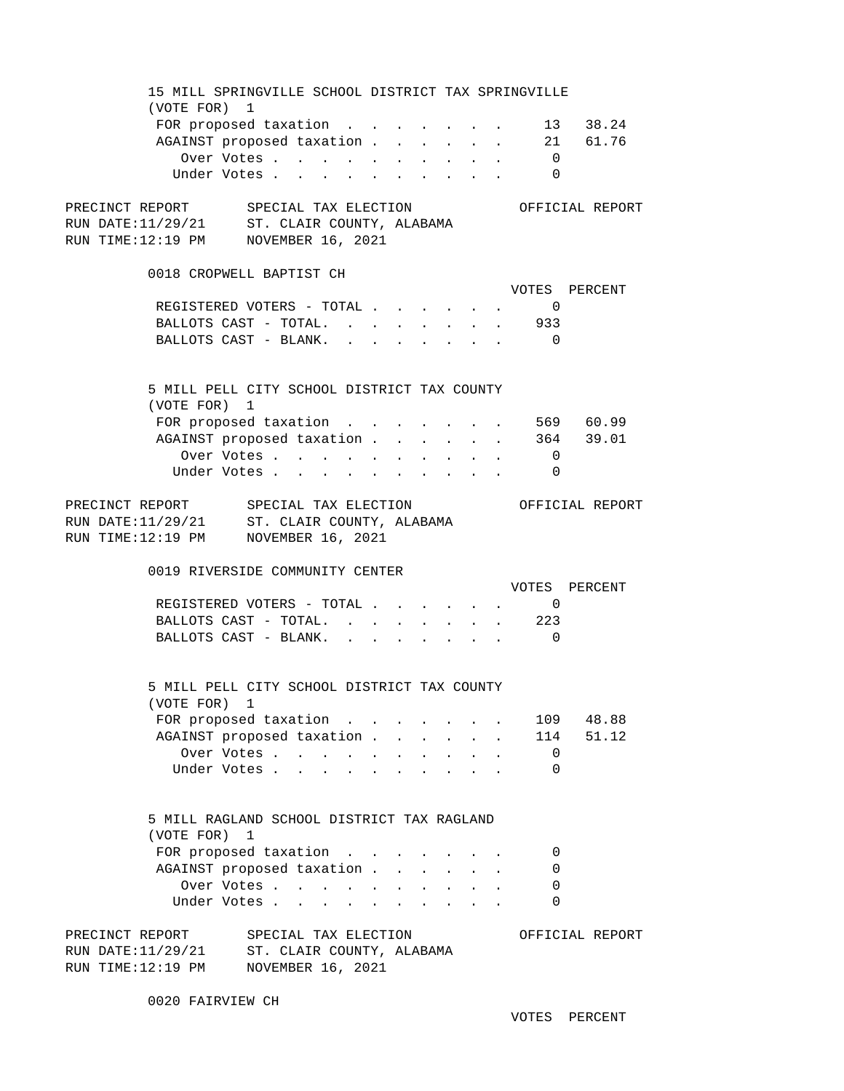15 MILL SPRINGVILLE SCHOOL DISTRICT TAX SPRINGVILLE (VOTE FOR) 1 FOR proposed taxation . . . . . . . 13 38.24 AGAINST proposed taxation . . . . . 21 61.76 Over Votes . . . . . . . . . . 0 Under Votes . . . . . . . . . . 0 PRECINCT REPORT SPECIAL TAX ELECTION OFFICIAL REPORT RUN DATE:11/29/21 ST. CLAIR COUNTY, ALABAMA ST. CLAIR COUNTY, ALABAMA RUN TIME:12:19 PM NOVEMBER 16, 2021 0018 CROPWELL BAPTIST CH VOTES PERCENT REGISTERED VOTERS - TOTAL . . . . . . 0 BALLOTS CAST - TOTAL. . . . . . . . 933 BALLOTS CAST - BLANK. . . . . . . . 0 5 MILL PELL CITY SCHOOL DISTRICT TAX COUNTY (VOTE FOR) 1 FOR proposed taxation . . . . . . . 569 60.99 AGAINST proposed taxation . . . . . . 364 39.01 Over Votes . . . . . . . . . . 0 Under Votes . . . . . . . . . . 0 PRECINCT REPORT SPECIAL TAX ELECTION OFFICIAL REPORT RUN DATE: 11/29/21 ST. CLAIR COUNTY, ALABAMA RUN TIME:12:19 PM NOVEMBER 16, 2021 0019 RIVERSIDE COMMUNITY CENTER VOTES PERCENT REGISTERED VOTERS - TOTAL . . . . . . 0 BALLOTS CAST - TOTAL. . . . . . . . 223 BALLOTS CAST - BLANK. . . . . . . . 0 5 MILL PELL CITY SCHOOL DISTRICT TAX COUNTY (VOTE FOR) 1 FOR proposed taxation . . . . . . . 109 48.88 AGAINST proposed taxation . . . . . . 114 51.12 Over Votes . . . . . . . . . . 0 Under Votes . . . . . . . . . . 0 5 MILL RAGLAND SCHOOL DISTRICT TAX RAGLAND (VOTE FOR) 1 FOR proposed taxation . . . . . . . 0 AGAINST proposed taxation . . . . . . 0 Over Votes . . . . . . . . . . 0 Under Votes . . . . . . . . . . 0 PRECINCT REPORT SPECIAL TAX ELECTION OFFICIAL REPORT RUN DATE:11/29/21 ST. CLAIR COUNTY, ALABAMA ST. CLAIR COUNTY, ALABAMA RUN TIME:12:19 PM NOVEMBER 16, 2021

0020 FAIRVIEW CH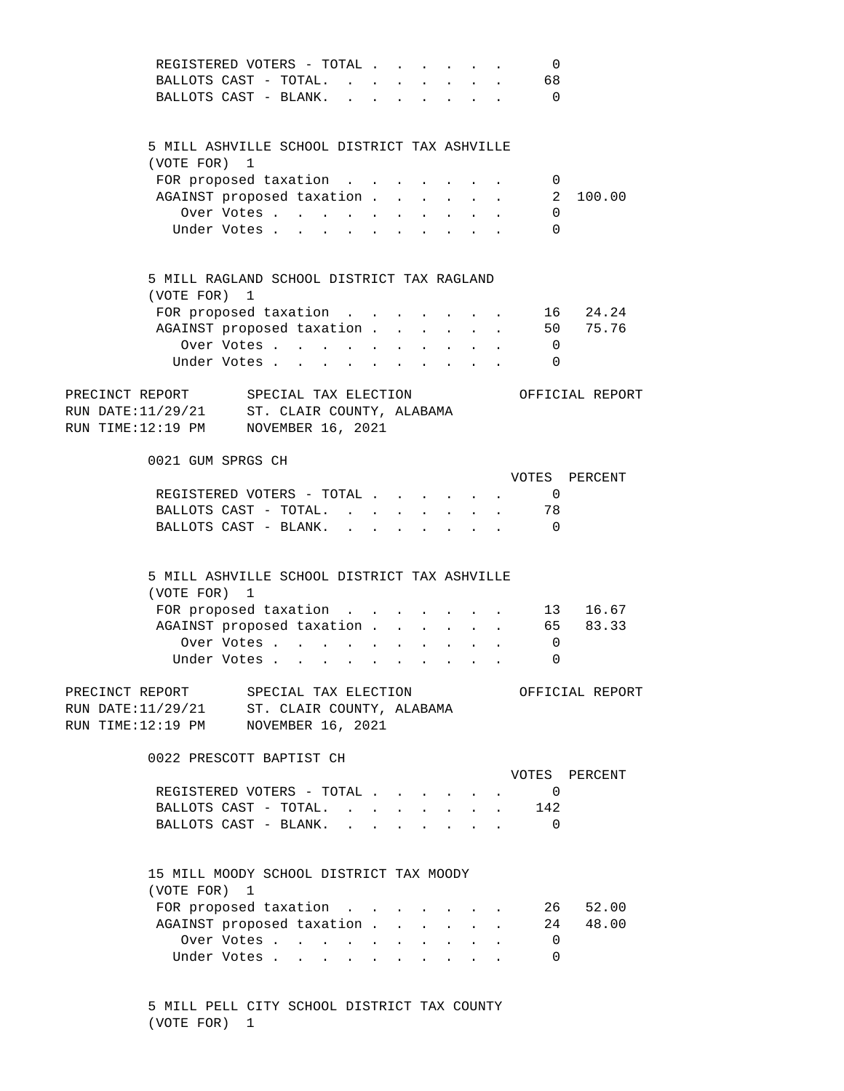| REGISTERED VOTERS - TOTAL                                                           |                                   |  |                               |                                     |                           | 0                        |                 |
|-------------------------------------------------------------------------------------|-----------------------------------|--|-------------------------------|-------------------------------------|---------------------------|--------------------------|-----------------|
| BALLOTS CAST - TOTAL.                                                               |                                   |  | <b>Service Control</b>        |                                     | $\sim$ $-$                | 68                       |                 |
| BALLOTS CAST - BLANK.                                                               | $\mathbf{r}$ $\mathbf{r}$         |  |                               | the contract of the contract of the |                           | $\overline{0}$           |                 |
|                                                                                     |                                   |  |                               |                                     |                           |                          |                 |
|                                                                                     |                                   |  |                               |                                     |                           |                          |                 |
| 5 MILL ASHVILLE SCHOOL DISTRICT TAX ASHVILLE                                        |                                   |  |                               |                                     |                           |                          |                 |
| (VOTE FOR) 1                                                                        |                                   |  |                               |                                     |                           |                          |                 |
| FOR proposed taxation                                                               |                                   |  |                               |                                     |                           | - 0                      |                 |
| AGAINST proposed taxation                                                           |                                   |  |                               |                                     | $\sim$ $\sim$             | $\overline{2}$           | 100.00          |
| Over Votes                                                                          |                                   |  |                               |                                     |                           | 0                        |                 |
| Under Votes                                                                         |                                   |  |                               |                                     |                           | $\Omega$                 |                 |
|                                                                                     |                                   |  |                               |                                     |                           |                          |                 |
|                                                                                     |                                   |  |                               |                                     |                           |                          |                 |
| 5 MILL RAGLAND SCHOOL DISTRICT TAX RAGLAND                                          |                                   |  |                               |                                     |                           |                          |                 |
| (VOTE FOR) 1                                                                        |                                   |  |                               |                                     |                           |                          |                 |
| FOR proposed taxation                                                               |                                   |  |                               |                                     | $\sim$                    |                          | 16 24.24        |
|                                                                                     |                                   |  |                               |                                     |                           |                          | 50 75.76        |
| AGAINST proposed taxation                                                           |                                   |  |                               |                                     | $\sim$ $-$                |                          |                 |
| Over Votes                                                                          |                                   |  |                               |                                     |                           | $\overline{\phantom{0}}$ |                 |
| Under Votes                                                                         |                                   |  |                               |                                     |                           | $\Omega$                 |                 |
|                                                                                     |                                   |  |                               |                                     |                           |                          |                 |
| PRECINCT REPORT SPECIAL TAX ELECTION<br>RUN DATE:11/29/21 ST. CLAIR COUNTY, ALABAMA |                                   |  |                               |                                     |                           |                          | OFFICIAL REPORT |
|                                                                                     |                                   |  |                               |                                     |                           |                          |                 |
| RUN TIME:12:19 PM NOVEMBER 16, 2021                                                 |                                   |  |                               |                                     |                           |                          |                 |
|                                                                                     |                                   |  |                               |                                     |                           |                          |                 |
| 0021 GUM SPRGS CH                                                                   |                                   |  |                               |                                     |                           |                          |                 |
|                                                                                     |                                   |  |                               |                                     |                           |                          | VOTES PERCENT   |
| REGISTERED VOTERS - TOTAL                                                           |                                   |  |                               |                                     |                           | $\overline{0}$           |                 |
| BALLOTS CAST - TOTAL.                                                               |                                   |  | $\mathbf{L}$ and $\mathbf{L}$ |                                     | $\mathbf{L}$              | 78                       |                 |
| BALLOTS CAST - BLANK.                                                               |                                   |  |                               |                                     |                           | $\overline{0}$           |                 |
|                                                                                     |                                   |  |                               |                                     |                           |                          |                 |
|                                                                                     |                                   |  |                               |                                     |                           |                          |                 |
| 5 MILL ASHVILLE SCHOOL DISTRICT TAX ASHVILLE                                        |                                   |  |                               |                                     |                           |                          |                 |
| (VOTE FOR) 1                                                                        |                                   |  |                               |                                     |                           |                          |                 |
| FOR proposed taxation                                                               |                                   |  |                               |                                     | $\sim$ $-$                |                          | 13 16.67        |
| AGAINST proposed taxation                                                           |                                   |  |                               |                                     | $\mathbf{L}^{\text{max}}$ |                          | 65 83.33        |
| Over Votes                                                                          |                                   |  | $\mathbf{r}$ , $\mathbf{r}$   |                                     |                           | $\overline{0}$           |                 |
| Under Votes                                                                         |                                   |  |                               |                                     |                           | $\Omega$                 |                 |
|                                                                                     |                                   |  |                               |                                     |                           |                          |                 |
| PRECINCT REPORT SPECIAL TAX ELECTION                                                |                                   |  |                               |                                     |                           |                          | OFFICIAL REPORT |
|                                                                                     |                                   |  |                               |                                     |                           |                          |                 |
| RUN DATE:11/29/21 ST. CLAIR COUNTY, ALABAMA<br>RUN TIME:12:19 PM NOVEMBER 16, 2021  |                                   |  |                               |                                     |                           |                          |                 |
|                                                                                     |                                   |  |                               |                                     |                           |                          |                 |
| 0022 PRESCOTT BAPTIST CH                                                            |                                   |  |                               |                                     |                           |                          |                 |
|                                                                                     |                                   |  |                               |                                     |                           |                          |                 |
|                                                                                     |                                   |  |                               |                                     |                           |                          | VOTES PERCENT   |
| REGISTERED VOTERS - TOTAL                                                           |                                   |  |                               |                                     |                           | $\overline{0}$           |                 |
| BALLOTS CAST - TOTAL.                                                               |                                   |  |                               |                                     |                           | 142                      |                 |
| BALLOTS CAST - BLANK.                                                               | $\mathbf{L} = \mathbf{L}$         |  |                               |                                     |                           | $\Omega$                 |                 |
|                                                                                     |                                   |  |                               |                                     |                           |                          |                 |
|                                                                                     |                                   |  |                               |                                     |                           |                          |                 |
| 15 MILL MOODY SCHOOL DISTRICT TAX MOODY                                             |                                   |  |                               |                                     |                           |                          |                 |
|                                                                                     |                                   |  |                               |                                     |                           |                          |                 |
| (VOTE FOR) 1                                                                        |                                   |  |                               |                                     |                           |                          |                 |
| FOR proposed taxation                                                               |                                   |  |                               |                                     |                           |                          | 26 52.00        |
| AGAINST proposed taxation                                                           |                                   |  |                               |                                     |                           |                          | 24 48.00        |
| Over Votes                                                                          |                                   |  |                               |                                     |                           | $\overline{0}$           |                 |
| Under Votes                                                                         | $\Delta \sim 100$<br>$\mathbf{r}$ |  |                               |                                     |                           | 0                        |                 |

 5 MILL PELL CITY SCHOOL DISTRICT TAX COUNTY (VOTE FOR) 1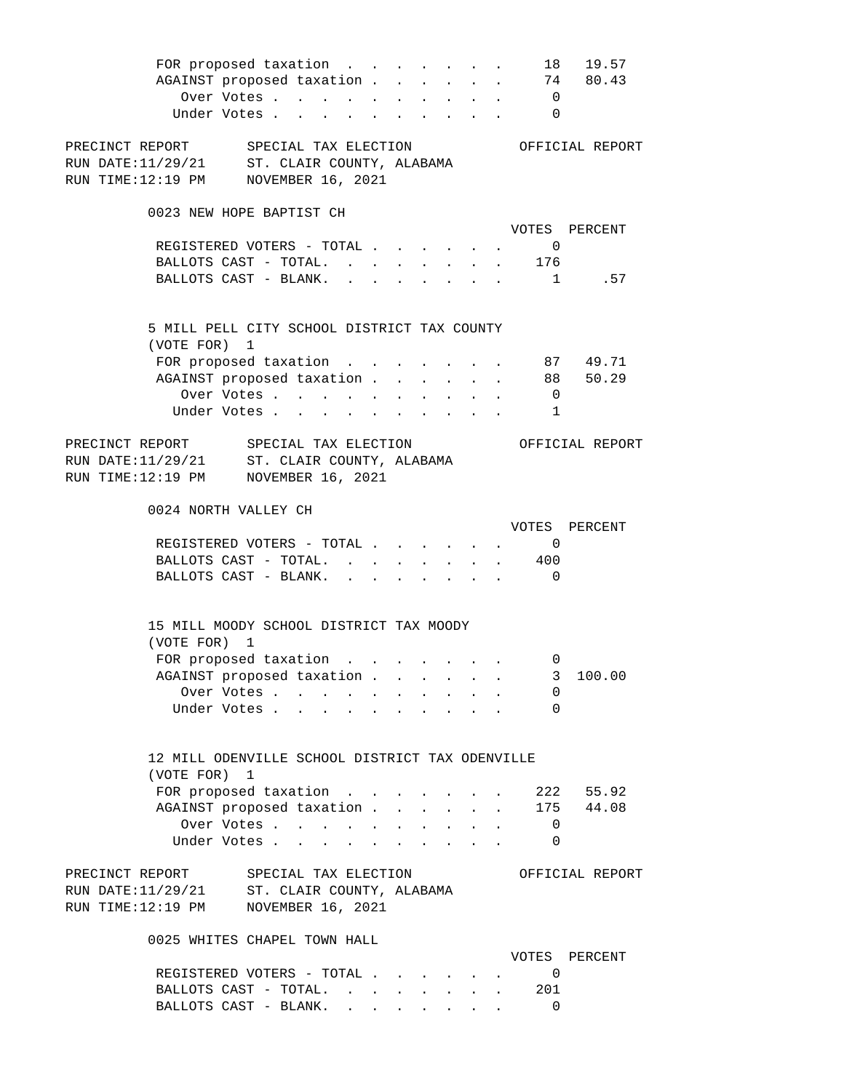| FOR proposed taxation                                |        |                                |                  |  |              |                                                           |                          | 18 19.57        |
|------------------------------------------------------|--------|--------------------------------|------------------|--|--------------|-----------------------------------------------------------|--------------------------|-----------------|
| AGAINST proposed taxation                            |        |                                |                  |  |              |                                                           |                          | 74 80.43        |
| Over Votes                                           |        |                                |                  |  |              |                                                           | $\overline{0}$           |                 |
| Under Votes                                          |        |                                |                  |  |              |                                                           | $\Omega$                 |                 |
|                                                      |        |                                |                  |  |              |                                                           |                          |                 |
| PRECINCT REPORT SPECIAL TAX ELECTION OFFICIAL REPORT |        |                                |                  |  |              |                                                           |                          |                 |
| RUN DATE: 11/29/21 ST. CLAIR COUNTY, ALABAMA         |        |                                |                  |  |              |                                                           |                          |                 |
| RUN TIME:12:19 PM NOVEMBER 16, 2021                  |        |                                |                  |  |              |                                                           |                          |                 |
|                                                      |        |                                |                  |  |              |                                                           |                          |                 |
| 0023 NEW HOPE BAPTIST CH                             |        |                                |                  |  |              |                                                           |                          |                 |
|                                                      |        |                                |                  |  |              |                                                           |                          |                 |
|                                                      |        |                                |                  |  |              |                                                           |                          | VOTES PERCENT   |
| REGISTERED VOTERS - TOTAL                            |        |                                |                  |  |              |                                                           | $\overline{0}$           |                 |
| BALLOTS CAST - TOTAL. 176                            |        |                                |                  |  |              |                                                           |                          |                 |
| BALLOTS CAST - BLANK. 1 .57                          |        |                                |                  |  |              |                                                           |                          |                 |
|                                                      |        |                                |                  |  |              |                                                           |                          |                 |
| 5 MILL PELL CITY SCHOOL DISTRICT TAX COUNTY          |        |                                |                  |  |              |                                                           |                          |                 |
| (VOTE FOR) 1                                         |        |                                |                  |  |              |                                                           |                          |                 |
| FOR proposed taxation 87 49.71                       |        |                                |                  |  |              |                                                           |                          |                 |
| AGAINST proposed taxation                            |        |                                |                  |  |              |                                                           |                          | 88 50.29        |
|                                                      |        |                                |                  |  |              |                                                           |                          |                 |
| Over Votes                                           |        |                                |                  |  |              |                                                           | $\overline{0}$           |                 |
| Under Votes                                          |        |                                |                  |  |              |                                                           | $\overline{\phantom{a}}$ |                 |
|                                                      |        |                                |                  |  |              |                                                           |                          |                 |
| PRECINCT REPORT SPECIAL TAX ELECTION                 |        |                                |                  |  |              |                                                           |                          | OFFICIAL REPORT |
| RUN DATE: 11/29/21 ST. CLAIR COUNTY, ALABAMA         |        |                                |                  |  |              |                                                           |                          |                 |
| RUN TIME:12:19 PM NOVEMBER 16, 2021                  |        |                                |                  |  |              |                                                           |                          |                 |
| 0024 NORTH VALLEY CH                                 |        |                                |                  |  |              |                                                           |                          |                 |
|                                                      |        |                                |                  |  |              |                                                           |                          | VOTES PERCENT   |
| REGISTERED VOTERS - TOTAL                            |        |                                |                  |  |              |                                                           | $\overline{0}$           |                 |
|                                                      |        |                                |                  |  |              |                                                           |                          |                 |
| BALLOTS CAST - TOTAL.                                |        |                                |                  |  |              | $\mathbf{r}$ , $\mathbf{r}$ , $\mathbf{r}$                | 400                      |                 |
| BALLOTS CAST - BLANK. 0                              |        |                                |                  |  |              |                                                           |                          |                 |
|                                                      |        |                                |                  |  |              |                                                           |                          |                 |
| 15 MILL MOODY SCHOOL DISTRICT TAX MOODY              |        |                                |                  |  |              |                                                           |                          |                 |
| (VOTE FOR) 1                                         |        |                                |                  |  |              |                                                           |                          |                 |
| FOR proposed taxation                                |        |                                |                  |  |              |                                                           | 0                        |                 |
|                                                      |        |                                |                  |  |              |                                                           |                          | 3 100.00        |
| AGAINST proposed taxation                            |        |                                |                  |  |              |                                                           |                          |                 |
| Over Votes                                           |        |                                |                  |  |              |                                                           | 0                        |                 |
| Under Votes.                                         |        | $\sim$<br>$\ddot{\phantom{a}}$ | $\mathbf{r}$     |  |              |                                                           | 0                        |                 |
|                                                      |        |                                |                  |  |              |                                                           |                          |                 |
|                                                      |        |                                |                  |  |              |                                                           |                          |                 |
| 12 MILL ODENVILLE SCHOOL DISTRICT TAX ODENVILLE      |        |                                |                  |  |              |                                                           |                          |                 |
| (VOTE FOR) 1                                         |        |                                |                  |  |              |                                                           |                          |                 |
| FOR proposed taxation                                |        |                                |                  |  |              | $\mathbf{r} = \mathbf{r}$ , and $\mathbf{r} = \mathbf{r}$ |                          | 222 55.92       |
| AGAINST proposed taxation                            |        |                                |                  |  | $\mathbf{L}$ |                                                           |                          | 175 44.08       |
| Over Votes                                           |        |                                | $\sim$ 100 $\pm$ |  |              |                                                           | $\overline{\phantom{0}}$ |                 |
| Under Votes .                                        | $\sim$ |                                |                  |  |              |                                                           | 0                        |                 |
|                                                      |        |                                |                  |  |              |                                                           |                          |                 |
| PRECINCT REPORT SPECIAL TAX ELECTION                 |        |                                |                  |  |              |                                                           |                          | OFFICIAL REPORT |
| RUN DATE:11/29/21 ST. CLAIR COUNTY, ALABAMA          |        |                                |                  |  |              |                                                           |                          |                 |
| RUN TIME:12:19 PM NOVEMBER 16, 2021                  |        |                                |                  |  |              |                                                           |                          |                 |
|                                                      |        |                                |                  |  |              |                                                           |                          |                 |
| 0025 WHITES CHAPEL TOWN HALL                         |        |                                |                  |  |              |                                                           |                          |                 |
|                                                      |        |                                |                  |  |              |                                                           |                          | VOTES PERCENT   |
| REGISTERED VOTERS - TOTAL                            |        |                                |                  |  |              |                                                           | $\overline{\phantom{0}}$ |                 |
| BALLOTS CAST - TOTAL.                                |        |                                |                  |  |              |                                                           | 201                      |                 |
|                                                      |        |                                |                  |  |              |                                                           |                          |                 |

BALLOTS CAST - BLANK. . . . . . . . . 0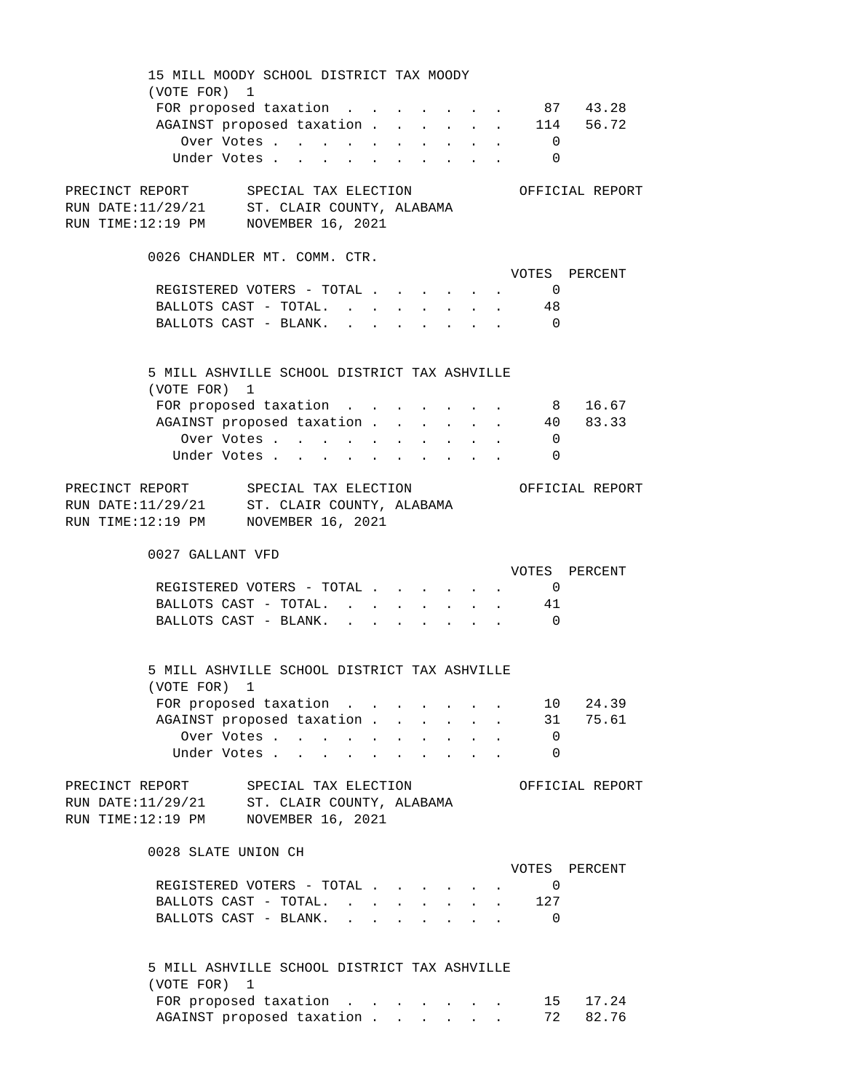15 MILL MOODY SCHOOL DISTRICT TAX MOODY (VOTE FOR) 1 FOR proposed taxation . . . . . . . 87 43.28 AGAINST proposed taxation . . . . . 114 56.72 Over Votes . . . . . . . . . . 0 Under Votes . . . . . . . . . . 0 PRECINCT REPORT SPECIAL TAX ELECTION OFFICIAL REPORT RUN DATE:11/29/21 ST. CLAIR COUNTY, ALABAMA RUN TIME:12:19 PM NOVEMBER 16, 2021 0026 CHANDLER MT. COMM. CTR. VOTES PERCENT REGISTERED VOTERS - TOTAL . . . . . . 0 BALLOTS CAST - TOTAL. . . . . . . . 48 BALLOTS CAST - BLANK. . . . . . . . 0 5 MILL ASHVILLE SCHOOL DISTRICT TAX ASHVILLE (VOTE FOR) 1 FOR proposed taxation . . . . . . . 8 16.67 AGAINST proposed taxation . . . . . . 40 83.33 Over Votes . . . . . . . . . . 0 Under Votes . . . . . . . . . . 0 PRECINCT REPORT SPECIAL TAX ELECTION OFFICIAL REPORT RUN DATE:11/29/21 ST. CLAIR COUNTY, ALABAMA RUN TIME:12:19 PM NOVEMBER 16, 2021 0027 GALLANT VFD VOTES PERCENT REGISTERED VOTERS - TOTAL . . . . . . 0 BALLOTS CAST - TOTAL. . . . . . . . 41 BALLOTS CAST - BLANK. . . . . . . . . 0 5 MILL ASHVILLE SCHOOL DISTRICT TAX ASHVILLE (VOTE FOR) 1 FOR proposed taxation . . . . . . . 10 24.39 AGAINST proposed taxation . . . . . . 31 75.61 Over Votes . . . . . . . . . . 0 Under Votes . . . . . . . . . . 0 PRECINCT REPORT SPECIAL TAX ELECTION OFFICIAL REPORT RUN DATE:11/29/21 ST. CLAIR COUNTY, ALABAMA RUN TIME:12:19 PM NOVEMBER 16, 2021 0028 SLATE UNION CH VOTES PERCENT REGISTERED VOTERS - TOTAL . . . . . . 0 BALLOTS CAST - TOTAL. . . . . . . . 127 BALLOTS CAST - BLANK. . . . . . . . 0 5 MILL ASHVILLE SCHOOL DISTRICT TAX ASHVILLE (VOTE FOR) 1 FOR proposed taxation . . . . . . . 15 17.24 AGAINST proposed taxation . . . . . 72 82.76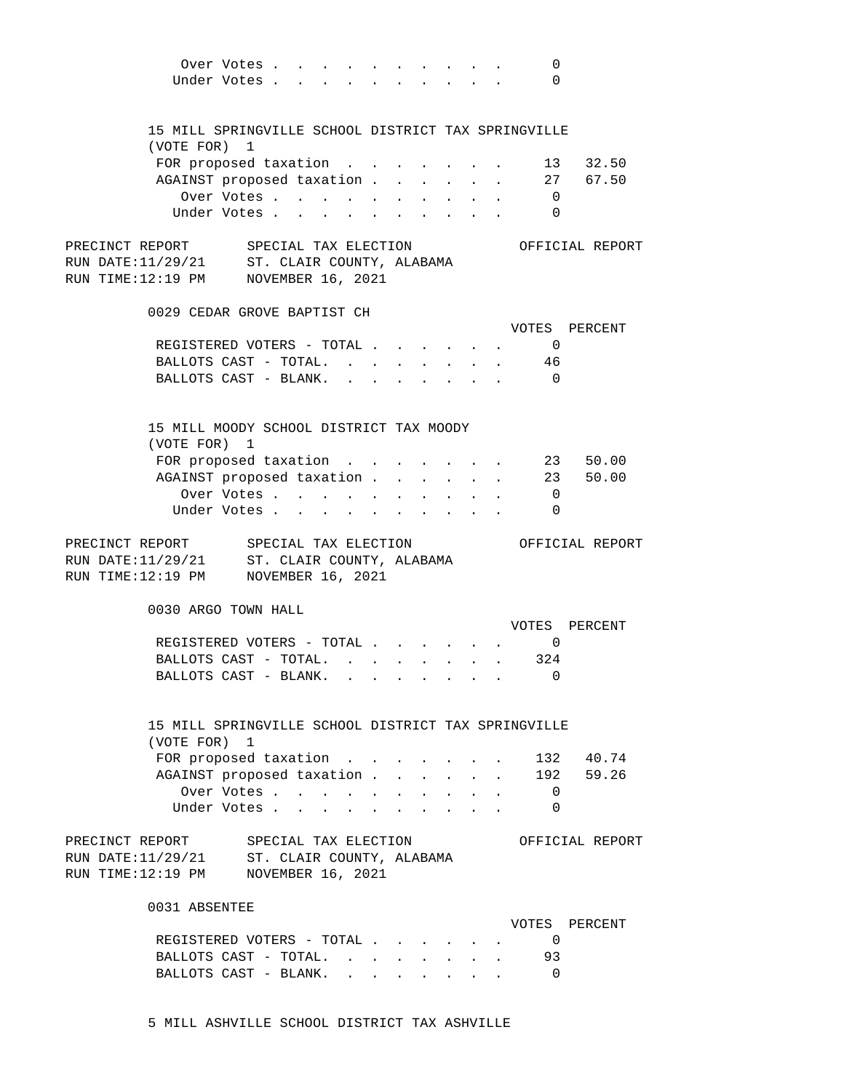|                                                                                                                             | Over Votes<br>Under Votes                                |  |  |                                           |  | 0<br>$\overline{0}$ |                 |
|-----------------------------------------------------------------------------------------------------------------------------|----------------------------------------------------------|--|--|-------------------------------------------|--|---------------------|-----------------|
| 15 MILL SPRINGVILLE SCHOOL DISTRICT TAX SPRINGVILLE<br>(VOTE FOR) 1                                                         |                                                          |  |  |                                           |  |                     |                 |
|                                                                                                                             | FOR proposed taxation                                    |  |  |                                           |  |                     | 13 32.50        |
|                                                                                                                             | AGAINST proposed taxation 27 67.50                       |  |  |                                           |  |                     |                 |
|                                                                                                                             | Over Votes 0                                             |  |  |                                           |  |                     |                 |
|                                                                                                                             | Under Votes                                              |  |  |                                           |  | $\overline{0}$      |                 |
| PRECINCT REPORT SPECIAL TAX ELECTION<br>RUN DATE:11/29/21 ST. CLAIR COUNTY, ALABAMA<br>RUN TIME:12:19 PM NOVEMBER 16, 2021  |                                                          |  |  |                                           |  |                     | OFFICIAL REPORT |
| 0029 CEDAR GROVE BAPTIST CH                                                                                                 |                                                          |  |  |                                           |  |                     | VOTES PERCENT   |
|                                                                                                                             | REGISTERED VOTERS - TOTAL 0                              |  |  |                                           |  |                     |                 |
|                                                                                                                             | BALLOTS CAST - TOTAL. 46                                 |  |  |                                           |  |                     |                 |
|                                                                                                                             | BALLOTS CAST - BLANK. 0                                  |  |  |                                           |  |                     |                 |
| 15 MILL MOODY SCHOOL DISTRICT TAX MOODY                                                                                     |                                                          |  |  |                                           |  |                     |                 |
| (VOTE FOR) 1                                                                                                                |                                                          |  |  |                                           |  |                     |                 |
|                                                                                                                             | FOR proposed taxation 23 50.00                           |  |  |                                           |  |                     |                 |
|                                                                                                                             | AGAINST proposed taxation 23 50.00                       |  |  |                                           |  |                     |                 |
|                                                                                                                             | Over Votes 0                                             |  |  |                                           |  |                     |                 |
|                                                                                                                             | Under Votes                                              |  |  |                                           |  | $\overline{0}$      |                 |
|                                                                                                                             |                                                          |  |  |                                           |  |                     |                 |
| PRECINCT REPORT SPECIAL TAX ELECTION<br>RUN DATE: 11/29/21 ST. CLAIR COUNTY, ALABAMA<br>RUN TIME:12:19 PM NOVEMBER 16, 2021 |                                                          |  |  |                                           |  |                     | OFFICIAL REPORT |
| 0030 ARGO TOWN HALL                                                                                                         |                                                          |  |  |                                           |  |                     |                 |
|                                                                                                                             |                                                          |  |  |                                           |  |                     | VOTES PERCENT   |
|                                                                                                                             | REGISTERED VOTERS - TOTAL 0<br>BALLOTS CAST - TOTAL. 324 |  |  |                                           |  |                     |                 |
|                                                                                                                             | BALLOTS CAST - BLANK.                                    |  |  |                                           |  | 0                   |                 |
| 15 MILL SPRINGVILLE SCHOOL DISTRICT TAX SPRINGVILLE<br>(VOTE FOR) 1                                                         |                                                          |  |  |                                           |  |                     |                 |
|                                                                                                                             | FOR proposed taxation                                    |  |  |                                           |  |                     | . 132 40.74     |
|                                                                                                                             | AGAINST proposed taxation 192 59.26                      |  |  |                                           |  |                     |                 |
|                                                                                                                             | Over Votes                                               |  |  | and a strong control of the strong strong |  | $\overline{0}$      |                 |
|                                                                                                                             | Under Votes                                              |  |  | and a strong control of the strong strong |  | $\overline{0}$      |                 |
| PRECINCT REPORT SPECIAL TAX ELECTION<br>RUN DATE:11/29/21 ST. CLAIR COUNTY, ALABAMA<br>RUN TIME:12:19 PM NOVEMBER 16, 2021  |                                                          |  |  |                                           |  |                     | OFFICIAL REPORT |
| 0031 ABSENTEE                                                                                                               |                                                          |  |  |                                           |  |                     |                 |
|                                                                                                                             |                                                          |  |  |                                           |  | $\Box$              | VOTES PERCENT   |
|                                                                                                                             | REGISTERED VOTERS - TOTAL                                |  |  |                                           |  | 93                  |                 |
|                                                                                                                             | BALLOTS CAST - TOTAL.<br>BALLOTS CAST - BLANK.           |  |  |                                           |  | $\overline{0}$      |                 |

5 MILL ASHVILLE SCHOOL DISTRICT TAX ASHVILLE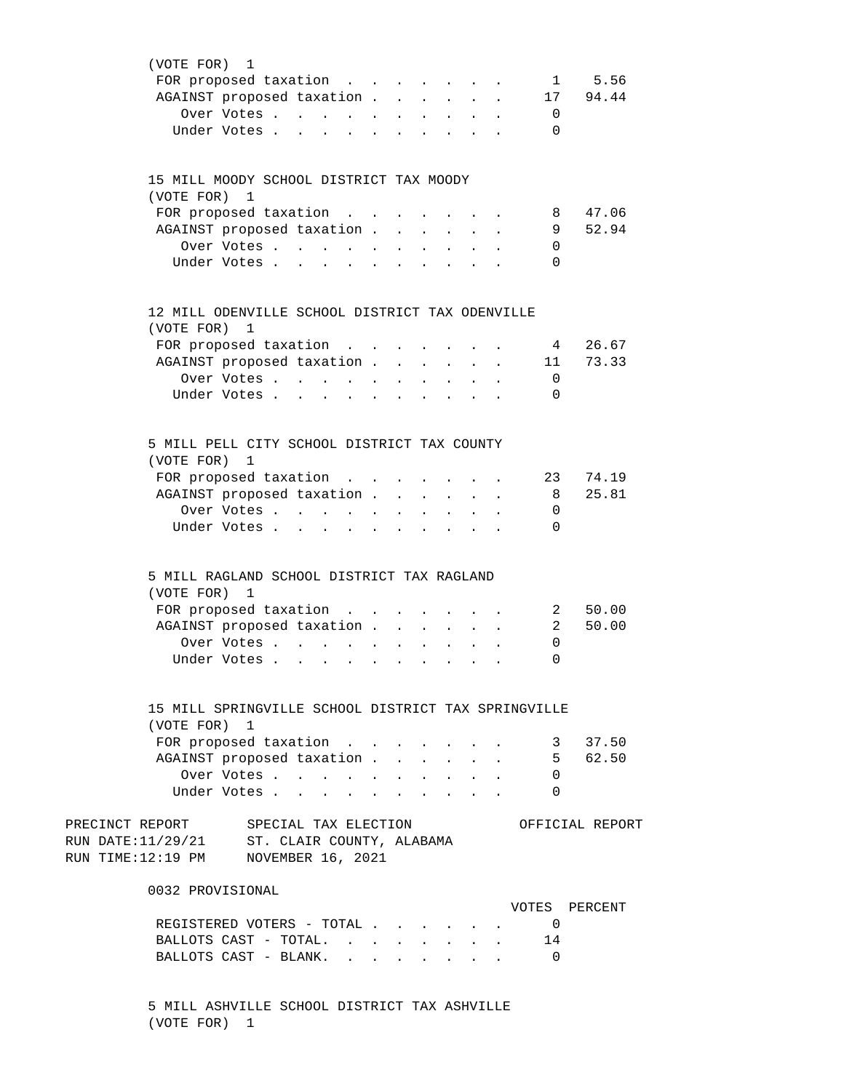| (VOTE FOR) 1                                                                                                                     |  |                  |               |                            |                                 |                      |                         |                 |
|----------------------------------------------------------------------------------------------------------------------------------|--|------------------|---------------|----------------------------|---------------------------------|----------------------|-------------------------|-----------------|
| FOR proposed taxation                                                                                                            |  |                  |               |                            |                                 |                      | $\mathbf{1}$            | 5.56            |
| AGAINST proposed taxation                                                                                                        |  |                  |               |                            |                                 | $\mathbf{A}$         |                         | 17 94.44        |
| Over Votes                                                                                                                       |  |                  | $\sim$        |                            |                                 |                      | 0                       |                 |
| Under Votes<br>and a series of the series of the series of the series of the series of the series of the series of the series of |  |                  |               |                            |                                 |                      | 0                       |                 |
|                                                                                                                                  |  |                  |               |                            |                                 |                      |                         |                 |
|                                                                                                                                  |  |                  |               |                            |                                 |                      |                         |                 |
| 15 MILL MOODY SCHOOL DISTRICT TAX MOODY                                                                                          |  |                  |               |                            |                                 |                      |                         |                 |
| (VOTE FOR) 1                                                                                                                     |  |                  |               |                            |                                 |                      |                         |                 |
| FOR proposed taxation                                                                                                            |  |                  |               |                            |                                 |                      | 8                       | 47.06           |
| AGAINST proposed taxation                                                                                                        |  |                  |               |                            | $\sim$                          |                      | 9                       | 52.94           |
| Over Votes                                                                                                                       |  |                  |               |                            |                                 |                      | 0                       |                 |
| Under Votes                                                                                                                      |  |                  |               |                            |                                 |                      | 0                       |                 |
|                                                                                                                                  |  |                  |               |                            |                                 |                      |                         |                 |
|                                                                                                                                  |  |                  |               |                            |                                 |                      |                         |                 |
| 12 MILL ODENVILLE SCHOOL DISTRICT TAX ODENVILLE                                                                                  |  |                  |               |                            |                                 |                      |                         |                 |
| (VOTE FOR) 1                                                                                                                     |  |                  |               |                            |                                 |                      |                         |                 |
| FOR proposed taxation                                                                                                            |  |                  |               |                            |                                 |                      | $4\overline{ }$         | 26.67           |
| AGAINST proposed taxation                                                                                                        |  |                  |               |                            | $\sim$                          | $\ddot{\phantom{a}}$ | 11                      | 73.33           |
| Over Votes                                                                                                                       |  |                  | $\sim$        |                            |                                 |                      | 0                       |                 |
| Under Votes                                                                                                                      |  |                  |               |                            |                                 |                      | 0                       |                 |
|                                                                                                                                  |  |                  |               |                            |                                 |                      |                         |                 |
|                                                                                                                                  |  |                  |               |                            |                                 |                      |                         |                 |
| 5 MILL PELL CITY SCHOOL DISTRICT TAX COUNTY                                                                                      |  |                  |               |                            |                                 |                      |                         |                 |
| (VOTE FOR) 1                                                                                                                     |  |                  |               |                            |                                 |                      |                         |                 |
| FOR proposed taxation                                                                                                            |  |                  |               |                            |                                 |                      | 23                      | 74.19           |
| AGAINST proposed taxation                                                                                                        |  |                  |               |                            |                                 |                      | - 8                     | 25.81           |
| Over Votes                                                                                                                       |  |                  |               |                            |                                 |                      | 0                       |                 |
|                                                                                                                                  |  |                  |               |                            |                                 |                      | 0                       |                 |
| Under Votes                                                                                                                      |  |                  |               |                            |                                 |                      |                         |                 |
|                                                                                                                                  |  |                  |               |                            |                                 |                      |                         |                 |
| 5 MILL RAGLAND SCHOOL DISTRICT TAX RAGLAND                                                                                       |  |                  |               |                            |                                 |                      |                         |                 |
| (VOTE FOR) 1                                                                                                                     |  |                  |               |                            |                                 |                      |                         |                 |
| FOR proposed taxation                                                                                                            |  |                  |               |                            |                                 |                      | $\overline{\mathbf{2}}$ | 50.00           |
| AGAINST proposed taxation                                                                                                        |  |                  | $\sim$ $\sim$ | $\mathbf{L}^{\text{max}}$  |                                 |                      | 2                       | 50.00           |
| Over Votes                                                                                                                       |  | $\sim$ 100 $\pm$ |               |                            |                                 |                      | 0                       |                 |
| Under Votes                                                                                                                      |  |                  |               |                            |                                 |                      | 0                       |                 |
|                                                                                                                                  |  |                  |               |                            |                                 |                      |                         |                 |
|                                                                                                                                  |  |                  |               |                            |                                 |                      |                         |                 |
| 15 MILL SPRINGVILLE SCHOOL DISTRICT TAX SPRINGVILLE                                                                              |  |                  |               |                            |                                 |                      |                         |                 |
| (VOTE FOR) 1                                                                                                                     |  |                  |               |                            |                                 |                      |                         |                 |
| FOR proposed taxation                                                                                                            |  |                  |               |                            |                                 |                      |                         | 3 37.50         |
| AGAINST proposed taxation.                                                                                                       |  | $\mathbf{A}$     |               |                            |                                 |                      |                         | 5 62.50         |
| Over Votes                                                                                                                       |  |                  |               |                            |                                 |                      | 0                       |                 |
| Under Votes                                                                                                                      |  |                  |               |                            |                                 |                      | $\Omega$                |                 |
|                                                                                                                                  |  |                  |               |                            |                                 |                      |                         |                 |
| PRECINCT REPORT SPECIAL TAX ELECTION                                                                                             |  |                  |               |                            |                                 |                      |                         | OFFICIAL REPORT |
| RUN DATE: 11/29/21 ST. CLAIR COUNTY, ALABAMA                                                                                     |  |                  |               |                            |                                 |                      |                         |                 |
| RUN TIME:12:19 PM NOVEMBER 16, 2021                                                                                              |  |                  |               |                            |                                 |                      |                         |                 |
|                                                                                                                                  |  |                  |               |                            |                                 |                      |                         |                 |
| 0032 PROVISIONAL                                                                                                                 |  |                  |               |                            |                                 |                      |                         |                 |
|                                                                                                                                  |  |                  |               |                            |                                 |                      | VOTES PERCENT           |                 |
| REGISTERED VOTERS - TOTAL                                                                                                        |  |                  |               |                            |                                 |                      | $\overline{0}$          |                 |
| BALLOTS CAST - TOTAL.                                                                                                            |  |                  |               | <b>All Carried Control</b> |                                 |                      | 14                      |                 |
| BALLOTS CAST - BLANK.                                                                                                            |  |                  |               |                            | $\cdot$ $\cdot$ $\cdot$ $\cdot$ |                      | $\overline{0}$          |                 |
|                                                                                                                                  |  |                  |               |                            |                                 |                      |                         |                 |

 5 MILL ASHVILLE SCHOOL DISTRICT TAX ASHVILLE (VOTE FOR) 1